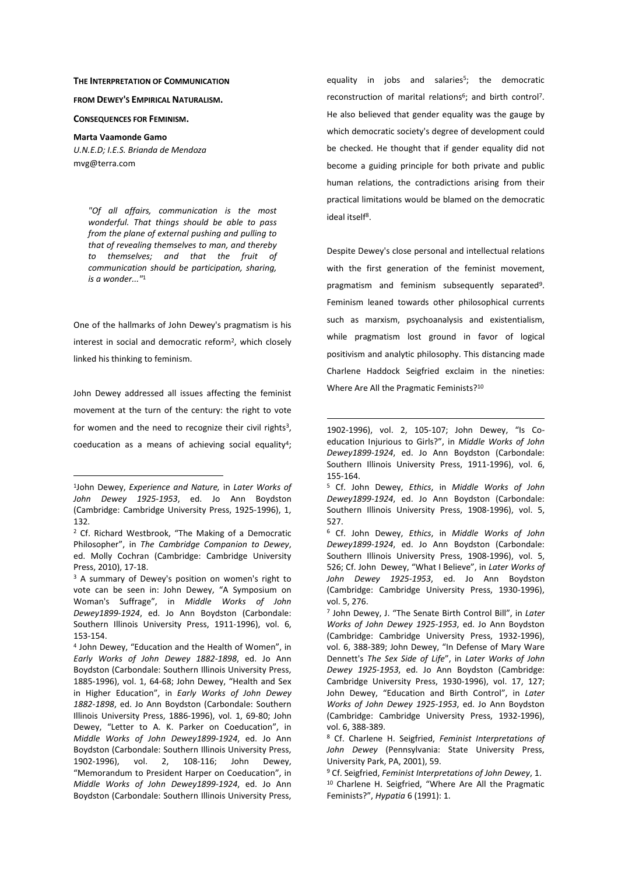## **THE INTERPRETATION OF COMMUNICATION**

**FROM DEWEY'S EMPIRICAL NATURALISM.**

**CONSEQUENCES FOR FEMINISM.** 

**Marta Vaamonde Gamo**  *U.N.E.D; I.E.S. Brianda de Mendoza* 

mvg@terra.com

 $\overline{a}$ 

*"Of all affairs, communication is the most* 

*wonderful. That things should be able to pass from the plane of external pushing and pulling to that of revealing themselves to man, and thereby to themselves; and that the fruit of communication should be participation, sharing, is a wonder..."*<sup>1</sup>

One of the hallmarks of John Dewey's pragmatism is his interest in social and democratic reform<sup>2</sup>, which closely linked his thinking to feminism.

John Dewey addressed all issues affecting the feminist movement at the turn of the century: the right to vote for women and the need to recognize their civil rights<sup>3</sup>, coeducation as a means of achieving social equality<sup>4</sup>;

equality in jobs and salaries<sup>5</sup>; the democratic reconstruction of marital relations<sup>6</sup>; and birth control<sup>7</sup>. He also believed that gender equality was the gauge by which democratic society's degree of development could be checked. He thought that if gender equality did not become a guiding principle for both private and public human relations, the contradictions arising from their practical limitations would be blamed on the democratic ideal itself<sup>8</sup>.

Despite Dewey's close personal and intellectual relations with the first generation of the feminist movement, pragmatism and feminism subsequently separated<sup>9</sup>. Feminism leaned towards other philosophical currents such as marxism, psychoanalysis and existentialism, while pragmatism lost ground in favor of logical positivism and analytic philosophy. This distancing made Charlene Haddock Seigfried exclaim in the nineties: Where Are All the Pragmatic Feminists?<sup>10</sup>

<sup>1</sup> John Dewey, *Experience and Nature,* in *Later Works of John Dewey 1925-1953*, ed. Jo Ann Boydston (Cambridge: Cambridge University Press, 1925-1996), 1, 132.

<sup>&</sup>lt;sup>2</sup> Cf. Richard Westbrook, "The Making of a Democratic Philosopher", in *The Cambridge Companion to Dewey*, ed. Molly Cochran (Cambridge: Cambridge University Press, 2010), 17-18.

<sup>&</sup>lt;sup>3</sup> A summary of Dewey's position on women's right to vote can be seen in: John Dewey, "A Symposium on Woman's Suffrage", in *Middle Works of John Dewey1899-1924*, ed. Jo Ann Boydston (Carbondale: Southern Illinois University Press, 1911-1996), vol. 6, 153-154.

<sup>4</sup> John Dewey, "Education and the Health of Women", in *Early Works of John Dewey 1882-1898*, ed. Jo Ann Boydston (Carbondale: Southern Illinois University Press, 1885-1996), vol. 1, 64-68; John Dewey, "Health and Sex in Higher Education", in *Early Works of John Dewey 1882-1898*, ed. Jo Ann Boydston (Carbondale: Southern Illinois University Press, 1886-1996), vol. 1, 69-80; John Dewey, "Letter to A. K. Parker on Coeducation", in *Middle Works of John Dewey1899-1924*, ed. Jo Ann Boydston (Carbondale: Southern Illinois University Press, 1902-1996), vol. 2, 108-116; John Dewey, "Memorandum to President Harper on Coeducation", in *Middle Works of John Dewey1899-1924*, ed. Jo Ann Boydston (Carbondale: Southern Illinois University Press,

<sup>1902-1996),</sup> vol. 2, 105-107; John Dewey, "Is Coeducation Injurious to Girls?", in *Middle Works of John Dewey1899-1924*, ed. Jo Ann Boydston (Carbondale: Southern Illinois University Press, 1911-1996), vol. 6, 155-164.

<sup>5</sup> Cf. John Dewey, *Ethics*, in *Middle Works of John Dewey1899-1924*, ed. Jo Ann Boydston (Carbondale: Southern Illinois University Press, 1908-1996), vol. 5, 527.

<sup>6</sup> Cf. John Dewey, *Ethics*, in *Middle Works of John Dewey1899-1924*, ed. Jo Ann Boydston (Carbondale: Southern Illinois University Press, 1908-1996), vol. 5, 526; Cf. John Dewey, "What I Believe", in *Later Works of John Dewey 1925-1953*, ed. Jo Ann Boydston (Cambridge: Cambridge University Press, 1930-1996), vol. 5, 276.

<sup>7</sup> John Dewey, J. "The Senate Birth Control Bill", in *Later Works of John Dewey 1925-1953*, ed. Jo Ann Boydston (Cambridge: Cambridge University Press, 1932-1996), vol. 6, 388-389; John Dewey, "In Defense of Mary Ware Dennett's *The Sex Side of Life*", in *Later Works of John Dewey 1925-1953*, ed. Jo Ann Boydston (Cambridge: Cambridge University Press, 1930-1996), vol. 17, 127; John Dewey, "Education and Birth Control", in *Later Works of John Dewey 1925-1953*, ed. Jo Ann Boydston (Cambridge: Cambridge University Press, 1932-1996), vol. 6, 388-389.

<sup>8</sup> Cf. Charlene H. Seigfried, *Feminist Interpretations of John Dewey* (Pennsylvania: State University Press, University Park, PA, 2001), 59.

<sup>9</sup> Cf. Seigfried, *Feminist Interpretations of John Dewey*, 1. <sup>10</sup> Charlene H. Seigfried, "Where Are All the Pragmatic Feminists?", *Hypatia* 6 (1991): 1.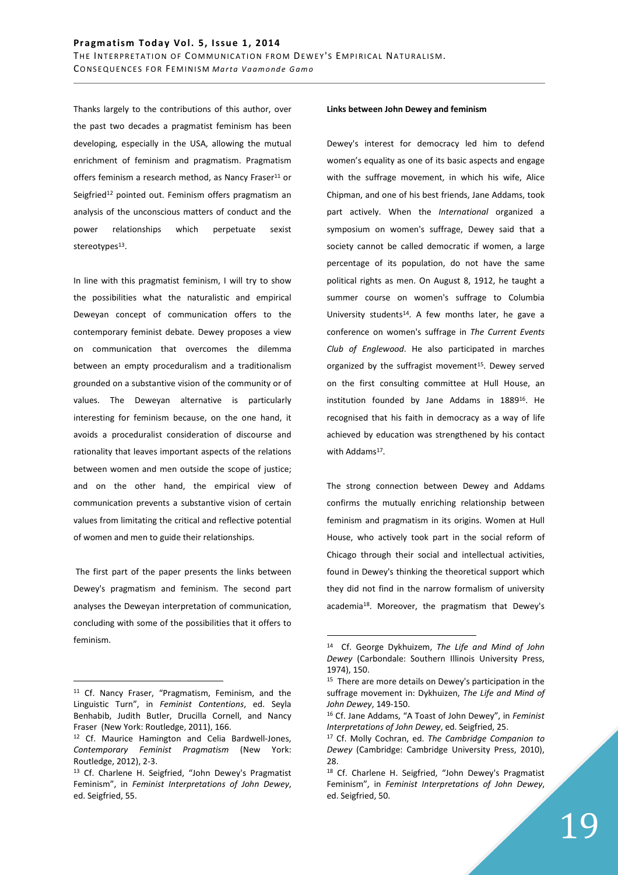Thanks largely to the contributions of this author, over the past two decades a pragmatist feminism has been developing, especially in the USA, allowing the mutual enrichment of feminism and pragmatism. Pragmatism offers feminism a research method, as Nancy Fraser<sup>11</sup> or Seigfried<sup>12</sup> pointed out. Feminism offers pragmatism an analysis of the unconscious matters of conduct and the power relationships which perpetuate sexist stereotypes<sup>13</sup>.

In line with this pragmatist feminism, I will try to show the possibilities what the naturalistic and empirical Deweyan concept of communication offers to the contemporary feminist debate. Dewey proposes a view on communication that overcomes the dilemma between an empty proceduralism and a traditionalism grounded on a substantive vision of the community or of values. The Deweyan alternative is particularly interesting for feminism because, on the one hand, it avoids a proceduralist consideration of discourse and rationality that leaves important aspects of the relations between women and men outside the scope of justice; and on the other hand, the empirical view of communication prevents a substantive vision of certain values from limitating the critical and reflective potential of women and men to guide their relationships.

 The first part of the paper presents the links between Dewey's pragmatism and feminism. The second part analyses the Deweyan interpretation of communication, concluding with some of the possibilities that it offers to feminism.

 $\overline{a}$ 

#### **Links between John Dewey and feminism**

Dewey's interest for democracy led him to defend women's equality as one of its basic aspects and engage with the suffrage movement, in which his wife, Alice Chipman, and one of his best friends, Jane Addams, took part actively. When the *International* organized a symposium on women's suffrage, Dewey said that a society cannot be called democratic if women, a large percentage of its population, do not have the same political rights as men. On August 8, 1912, he taught a summer course on women's suffrage to Columbia University students<sup>14</sup>. A few months later, he gave a conference on women's suffrage in *The Current Events Club of Englewood*. He also participated in marches organized by the suffragist movement<sup>15</sup>. Dewey served on the first consulting committee at Hull House, an institution founded by Jane Addams in 1889<sup>16</sup>. He recognised that his faith in democracy as a way of life achieved by education was strengthened by his contact with Addams<sup>17</sup>.

The strong connection between Dewey and Addams confirms the mutually enriching relationship between feminism and pragmatism in its origins. Women at Hull House, who actively took part in the social reform of Chicago through their social and intellectual activities, found in Dewey's thinking the theoretical support which they did not find in the narrow formalism of university academia<sup>18</sup>. Moreover, the pragmatism that Dewey's

<sup>11</sup> Cf. Nancy Fraser, "Pragmatism, Feminism, and the Linguistic Turn", in *Feminist Contentions*, ed. Seyla Benhabib, Judith Butler, Drucilla Cornell, and Nancy Fraser (New York: Routledge, 2011), 166.

<sup>12</sup> Cf. Maurice Hamington and Celia Bardwell-Jones, *Contemporary Feminist Pragmatism* (New York: Routledge, 2012), 2-3.

<sup>13</sup> Cf. Charlene H. Seigfried, "John Dewey's Pragmatist Feminism", in *Feminist Interpretations of John Dewey*, ed. Seigfried, 55.

<sup>14</sup> Cf. George Dykhuizem, *The Life and Mind of John Dewey* (Carbondale: Southern Illinois University Press, 1974), 150.

<sup>&</sup>lt;sup>15</sup> There are more details on Dewey's participation in the suffrage movement in: Dykhuizen, *The Life and Mind of John Dewey*, 149-150.

<sup>16</sup> Cf. Jane Addams, "A Toast of John Dewey", in *Feminist Interpretations of John Dewey*, ed. Seigfried, 25.

<sup>17</sup> Cf. Molly Cochran, ed. *The Cambridge Companion to Dewey* (Cambridge: Cambridge University Press, 2010), 28.

<sup>18</sup> Cf. Charlene H. Seigfried, "John Dewey's Pragmatist Feminism", in *Feminist Interpretations of John Dewey*, ed. Seigfried, 50.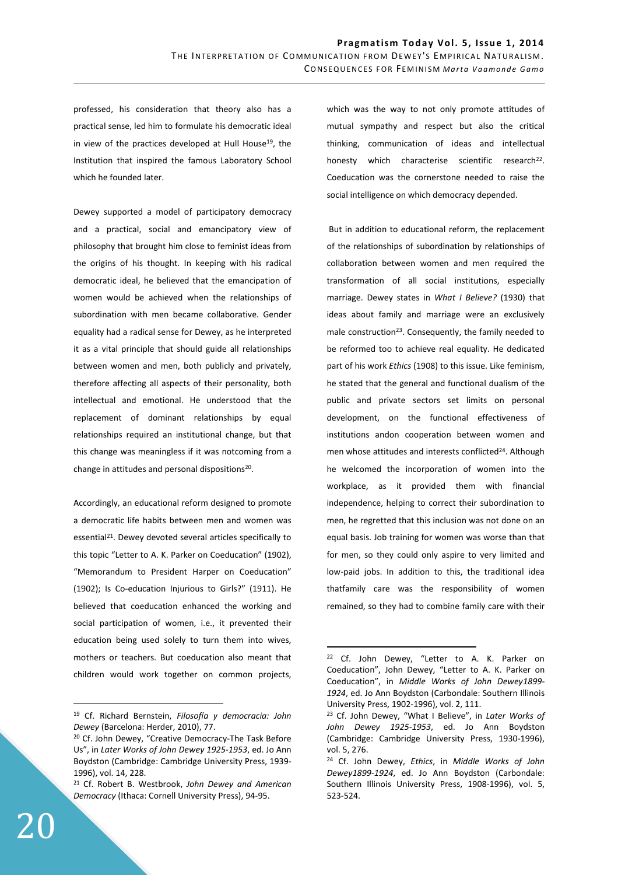professed, his consideration that theory also has a practical sense, led him to formulate his democratic ideal in view of the practices developed at Hull House<sup>19</sup>, the Institution that inspired the famous Laboratory School which he founded later.

Dewey supported a model of participatory democracy and a practical, social and emancipatory view of philosophy that brought him close to feminist ideas from the origins of his thought. In keeping with his radical democratic ideal, he believed that the emancipation of women would be achieved when the relationships of subordination with men became collaborative. Gender equality had a radical sense for Dewey, as he interpreted it as a vital principle that should guide all relationships between women and men, both publicly and privately, therefore affecting all aspects of their personality, both intellectual and emotional. He understood that the replacement of dominant relationships by equal relationships required an institutional change, but that this change was meaningless if it was notcoming from a change in attitudes and personal dispositions<sup>20</sup>.

Accordingly, an educational reform designed to promote a democratic life habits between men and women was essential<sup>21</sup>. Dewey devoted several articles specifically to this topic "Letter to A. K. Parker on Coeducation" (1902), "Memorandum to President Harper on Coeducation" (1902); Is Co-education Injurious to Girls?" (1911). He believed that coeducation enhanced the working and social participation of women, i.e., it prevented their education being used solely to turn them into wives, mothers or teachers. But coeducation also meant that children would work together on common projects, which was the way to not only promote attitudes of mutual sympathy and respect but also the critical thinking, communication of ideas and intellectual honesty which characterise scientific research<sup>22</sup>. Coeducation was the cornerstone needed to raise the social intelligence on which democracy depended.

 But in addition to educational reform, the replacement of the relationships of subordination by relationships of collaboration between women and men required the transformation of all social institutions, especially marriage. Dewey states in *What I Believe?* (1930) that ideas about family and marriage were an exclusively male construction<sup>23</sup>. Consequently, the family needed to be reformed too to achieve real equality. He dedicated part of his work *Ethics* (1908) to this issue. Like feminism, he stated that the general and functional dualism of the public and private sectors set limits on personal development, on the functional effectiveness of institutions andon cooperation between women and men whose attitudes and interests conflicted<sup>24</sup>. Although he welcomed the incorporation of women into the workplace, as it provided them with financial independence, helping to correct their subordination to men, he regretted that this inclusion was not done on an equal basis. Job training for women was worse than that for men, so they could only aspire to very limited and low-paid jobs. In addition to this, the traditional idea thatfamily care was the responsibility of women remained, so they had to combine family care with their

 $\overline{a}$ 

<sup>19</sup> Cf. Richard Bernstein, *Filosofía y democracia: John Dewey* (Barcelona: Herder, 2010), 77.

<sup>20</sup> Cf. John Dewey, "Creative Democracy-The Task Before Us", in *Later Works of John Dewey 1925-1953*, ed. Jo Ann Boydston (Cambridge: Cambridge University Press, 1939- 1996), vol. 14, 228.

<sup>21</sup> Cf. Robert B. Westbrook, *John Dewey and American Democracy* (Ithaca: Cornell University Press), 94-95.

<sup>22</sup> Cf. John Dewey, "Letter to A. K. Parker on Coeducation", John Dewey, "Letter to A. K. Parker on Coeducation", in *Middle Works of John Dewey1899- 1924*, ed. Jo Ann Boydston (Carbondale: Southern Illinois University Press, 1902-1996), vol. 2, 111.

<sup>23</sup> Cf. John Dewey, "What I Believe", in *Later Works of John Dewey 1925-1953*, ed. Jo Ann Boydston (Cambridge: Cambridge University Press, 1930-1996), vol. 5, 276.

<sup>24</sup> Cf. John Dewey, *Ethics*, in *Middle Works of John Dewey1899-1924*, ed. Jo Ann Boydston (Carbondale: Southern Illinois University Press, 1908-1996), vol. 5, 523-524.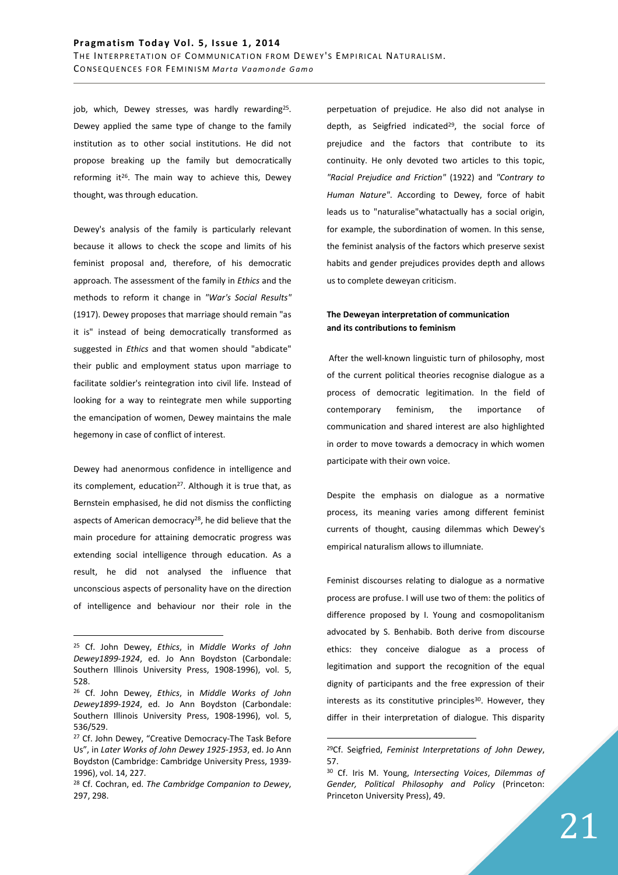job, which, Dewey stresses, was hardly rewarding<sup>25</sup>. Dewey applied the same type of change to the family institution as to other social institutions. He did not propose breaking up the family but democratically reforming it<sup>26</sup>. The main way to achieve this, Dewey thought, was through education.

Dewey's analysis of the family is particularly relevant because it allows to check the scope and limits of his feminist proposal and, therefore, of his democratic approach. The assessment of the family in *Ethics* and the methods to reform it change in *"War's Social Results"* (1917). Dewey proposes that marriage should remain "as it is" instead of being democratically transformed as suggested in *Ethics* and that women should "abdicate" their public and employment status upon marriage to facilitate soldier's reintegration into civil life. Instead of looking for a way to reintegrate men while supporting the emancipation of women, Dewey maintains the male hegemony in case of conflict of interest.

Dewey had anenormous confidence in intelligence and its complement, education<sup>27</sup>. Although it is true that, as Bernstein emphasised, he did not dismiss the conflicting aspects of American democracy<sup>28</sup>, he did believe that the main procedure for attaining democratic progress was extending social intelligence through education. As a result, he did not analysed the influence that unconscious aspects of personality have on the direction of intelligence and behaviour nor their role in the

 $\overline{a}$ 

perpetuation of prejudice. He also did not analyse in depth, as Seigfried indicated<sup>29</sup>, the social force of prejudice and the factors that contribute to its continuity. He only devoted two articles to this topic, *"Racial Prejudice and Friction"* (1922) and *"Contrary to Human Nature"*. According to Dewey, force of habit leads us to "naturalise"whatactually has a social origin, for example, the subordination of women. In this sense, the feminist analysis of the factors which preserve sexist habits and gender prejudices provides depth and allows us to complete deweyan criticism.

# **The Deweyan interpretation of communication and its contributions to feminism**

 After the well-known linguistic turn of philosophy, most of the current political theories recognise dialogue as a process of democratic legitimation. In the field of contemporary feminism, the importance of communication and shared interest are also highlighted in order to move towards a democracy in which women participate with their own voice.

Despite the emphasis on dialogue as a normative process, its meaning varies among different feminist currents of thought, causing dilemmas which Dewey's empirical naturalism allows to illumniate.

Feminist discourses relating to dialogue as a normative process are profuse. I will use two of them: the politics of difference proposed by I. Young and cosmopolitanism advocated by S. Benhabib. Both derive from discourse ethics: they conceive dialogue as a process of legitimation and support the recognition of the equal dignity of participants and the free expression of their interests as its constitutive principles<sup>30</sup>. However, they differ in their interpretation of dialogue. This disparity

<sup>25</sup> Cf. John Dewey, *Ethics*, in *Middle Works of John Dewey1899-1924*, ed. Jo Ann Boydston (Carbondale: Southern Illinois University Press, 1908-1996), vol. 5, 528.

<sup>26</sup> Cf. John Dewey, *Ethics*, in *Middle Works of John Dewey1899-1924*, ed. Jo Ann Boydston (Carbondale: Southern Illinois University Press, 1908-1996), vol. 5, 536/529.

<sup>&</sup>lt;sup>27</sup> Cf. John Dewey, "Creative Democracy-The Task Before Us", in *Later Works of John Dewey 1925-1953*, ed. Jo Ann Boydston (Cambridge: Cambridge University Press, 1939- 1996), vol. 14, 227.

<sup>28</sup> Cf. Cochran, ed. *The Cambridge Companion to Dewey*, 297, 298.

<sup>29</sup>Cf. Seigfried, *Feminist Interpretations of John Dewey*, 57.

<sup>30</sup> Cf. Iris M. Young, *Intersecting Voices*, *Dilemmas of Gender, Political Philosophy and Policy* (Princeton: Princeton University Press), 49.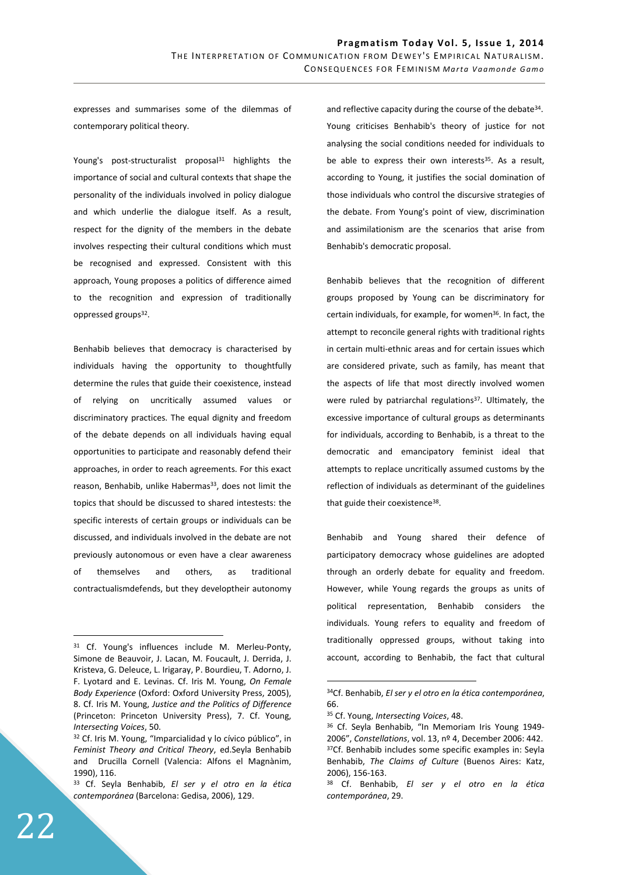expresses and summarises some of the dilemmas of contemporary political theory.

Young's post-structuralist proposal<sup>31</sup> highlights the importance of social and cultural contexts that shape the personality of the individuals involved in policy dialogue and which underlie the dialogue itself. As a result, respect for the dignity of the members in the debate involves respecting their cultural conditions which must be recognised and expressed. Consistent with this approach, Young proposes a politics of difference aimed to the recognition and expression of traditionally oppressed groups<sup>32</sup>.

Benhabib believes that democracy is characterised by individuals having the opportunity to thoughtfully determine the rules that guide their coexistence, instead of relying on uncritically assumed values or discriminatory practices. The equal dignity and freedom of the debate depends on all individuals having equal opportunities to participate and reasonably defend their approaches, in order to reach agreements. For this exact reason, Benhabib, unlike Habermas<sup>33</sup>, does not limit the topics that should be discussed to shared intestests: the specific interests of certain groups or individuals can be discussed, and individuals involved in the debate are not previously autonomous or even have a clear awareness of themselves and others, as traditional contractualismdefends, but they developtheir autonomy

and reflective capacity during the course of the debate<sup>34</sup>. Young criticises Benhabib's theory of justice for not analysing the social conditions needed for individuals to be able to express their own interests<sup>35</sup>. As a result, according to Young, it justifies the social domination of those individuals who control the discursive strategies of the debate. From Young's point of view, discrimination and assimilationism are the scenarios that arise from Benhabib's democratic proposal.

Benhabib believes that the recognition of different groups proposed by Young can be discriminatory for certain individuals, for example, for women<sup>36</sup>. In fact, the attempt to reconcile general rights with traditional rights in certain multi-ethnic areas and for certain issues which are considered private, such as family, has meant that the aspects of life that most directly involved women were ruled by patriarchal regulations<sup>37</sup>. Ultimately, the excessive importance of cultural groups as determinants for individuals, according to Benhabib, is a threat to the democratic and emancipatory feminist ideal that attempts to replace uncritically assumed customs by the reflection of individuals as determinant of the guidelines that guide their coexistence<sup>38</sup>.

Benhabib and Young shared their defence of participatory democracy whose guidelines are adopted through an orderly debate for equality and freedom. However, while Young regards the groups as units of political representation, Benhabib considers the individuals. Young refers to equality and freedom of traditionally oppressed groups, without taking into account, according to Benhabib, the fact that cultural

 $\overline{a}$ 

<sup>&</sup>lt;sup>31</sup> Cf. Young's influences include M. Merleu-Ponty, Simone de Beauvoir, J. Lacan, M. Foucault, J. Derrida, J. Kristeva, G. Deleuce, L. Irigaray, P. Bourdieu, T. Adorno, J. F. Lyotard and E. Levinas. Cf. Iris M. Young, *On Female Body Experience* (Oxford: Oxford University Press, 2005), 8. Cf. Iris M. Young, *Justice and the Politics of Difference* (Princeton: Princeton University Press), 7. Cf. Young, *Intersecting Voices*, 50.

<sup>&</sup>lt;sup>32</sup> Cf. Iris M. Young, "Imparcialidad y lo cívico público", in *Feminist Theory and Critical Theory*, ed.Seyla Benhabib and Drucilla Cornell (Valencia: Alfons el Magnànim, 1990), 116.

<sup>33</sup> Cf. Seyla Benhabib, *El ser y el otro en la ética contemporánea* (Barcelona: Gedisa, 2006), 129.

<sup>34</sup>Cf. Benhabib, *El ser y el otro en la ética contemporánea*, 66.

<sup>35</sup> Cf. Young, *Intersecting Voices*, 48.

<sup>36</sup> Cf. Seyla Benhabib, "In Memoriam Iris Young 1949- 2006", *Constellations*, vol. 13, nº 4, December 2006: 442. 37Cf. Benhabib includes some specific examples in: Seyla Benhabib, *The Claims of Culture* (Buenos Aires: Katz, 2006), 156-163.

<sup>38</sup> Cf. Benhabib, *El ser y el otro en la ética contemporánea*, 29.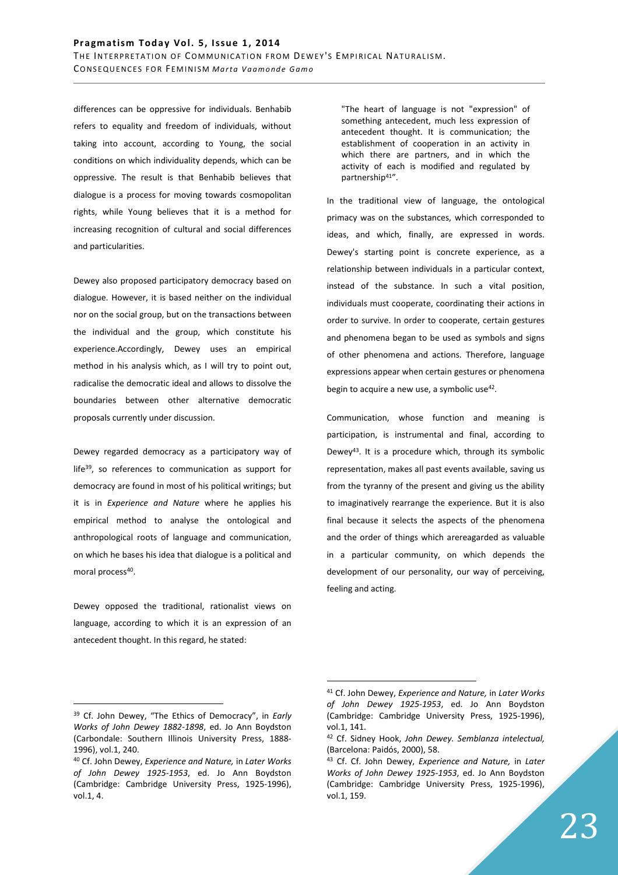differences can be oppressive for individuals. Benhabib refers to equality and freedom of individuals, without taking into account, according to Young, the social conditions on which individuality depends, which can be oppressive. The result is that Benhabib believes that dialogue is a process for moving towards cosmopolitan rights, while Young believes that it is a method for increasing recognition of cultural and social differences and particularities.

Dewey also proposed participatory democracy based on dialogue. However, it is based neither on the individual nor on the social group, but on the transactions between the individual and the group, which constitute his experience.Accordingly, Dewey uses an empirical method in his analysis which, as I will try to point out, radicalise the democratic ideal and allows to dissolve the boundaries between other alternative democratic proposals currently under discussion.

Dewey regarded democracy as a participatory way of life<sup>39</sup>, so references to communication as support for democracy are found in most of his political writings; but it is in *Experience and Nature* where he applies his empirical method to analyse the ontological and anthropological roots of language and communication, on which he bases his idea that dialogue is a political and moral process<sup>40</sup>.

Dewey opposed the traditional, rationalist views on language, according to which it is an expression of an antecedent thought. In this regard, he stated:

"The heart of language is not "expression" of something antecedent, much less expression of antecedent thought. It is communication; the establishment of cooperation in an activity in which there are partners, and in which the activity of each is modified and regulated by partnership<sup>41</sup>".

In the traditional view of language, the ontological primacy was on the substances, which corresponded to ideas, and which, finally, are expressed in words. Dewey's starting point is concrete experience, as a relationship between individuals in a particular context, instead of the substance. In such a vital position, individuals must cooperate, coordinating their actions in order to survive. In order to cooperate, certain gestures and phenomena began to be used as symbols and signs of other phenomena and actions. Therefore, language expressions appear when certain gestures or phenomena begin to acquire a new use, a symbolic use<sup>42</sup>.

Communication, whose function and meaning is participation, is instrumental and final, according to Dewey<sup>43</sup>. It is a procedure which, through its symbolic representation, makes all past events available, saving us from the tyranny of the present and giving us the ability to imaginatively rearrange the experience. But it is also final because it selects the aspects of the phenomena and the order of things which arereagarded as valuable in a particular community, on which depends the development of our personality, our way of perceiving, feeling and acting.

 $\overline{a}$ 

<sup>39</sup> Cf. John Dewey, "The Ethics of Democracy", in *Early Works of John Dewey 1882-1898*, ed. Jo Ann Boydston (Carbondale: Southern Illinois University Press, 1888- 1996), vol.1, 240.

<sup>40</sup> Cf. John Dewey, *Experience and Nature,* in *Later Works of John Dewey 1925-1953*, ed. Jo Ann Boydston (Cambridge: Cambridge University Press, 1925-1996), vol.1, 4.

<sup>41</sup> Cf. John Dewey, *Experience and Nature,* in *Later Works of John Dewey 1925-1953*, ed. Jo Ann Boydston (Cambridge: Cambridge University Press, 1925-1996), vol.1, 141.

<sup>42</sup> Cf. Sidney Hook, *John Dewey. Semblanza intelectual,*  (Barcelona: Paidós, 2000), 58.

<sup>43</sup> Cf. Cf. John Dewey, *Experience and Nature,* in *Later Works of John Dewey 1925-1953*, ed. Jo Ann Boydston (Cambridge: Cambridge University Press, 1925-1996), vol.1, 159.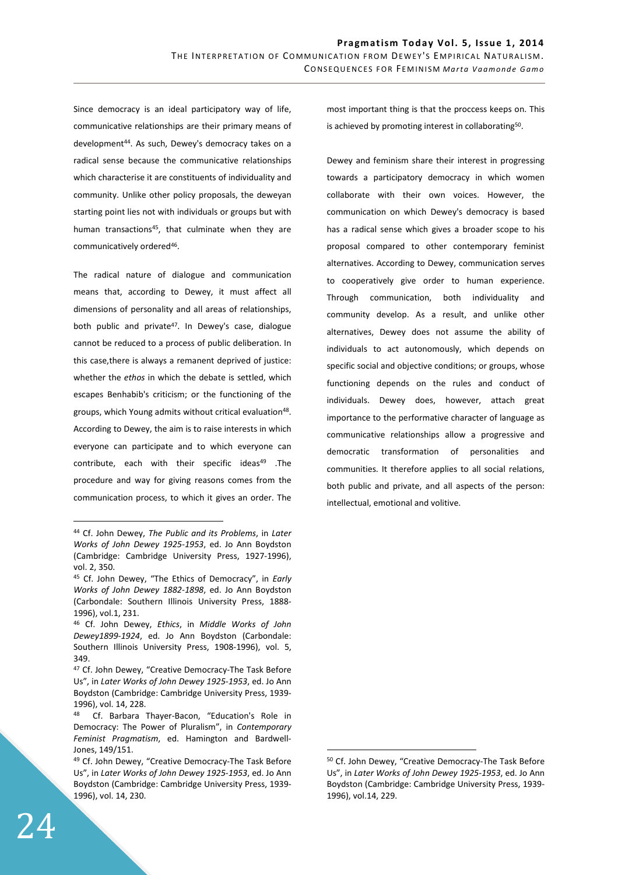Since democracy is an ideal participatory way of life, communicative relationships are their primary means of development<sup>44</sup>. As such, Dewey's democracy takes on a radical sense because the communicative relationships which characterise it are constituents of individuality and community. Unlike other policy proposals, the deweyan starting point lies not with individuals or groups but with human transactions<sup>45</sup>, that culminate when they are communicatively ordered<sup>46</sup>.

The radical nature of dialogue and communication means that, according to Dewey, it must affect all dimensions of personality and all areas of relationships, both public and private<sup>47</sup>. In Dewey's case, dialogue cannot be reduced to a process of public deliberation. In this case,there is always a remanent deprived of justice: whether the *ethos* in which the debate is settled, which escapes Benhabib's criticism; or the functioning of the groups, which Young admits without critical evaluation<sup>48</sup>. According to Dewey, the aim is to raise interests in which everyone can participate and to which everyone can contribute, each with their specific ideas<sup>49</sup> .The procedure and way for giving reasons comes from the communication process, to which it gives an order. The

most important thing is that the proccess keeps on. This is achieved by promoting interest in collaborating<sup>50</sup>.

Dewey and feminism share their interest in progressing towards a participatory democracy in which women collaborate with their own voices. However, the communication on which Dewey's democracy is based has a radical sense which gives a broader scope to his proposal compared to other contemporary feminist alternatives. According to Dewey, communication serves to cooperatively give order to human experience. Through communication, both individuality and community develop. As a result, and unlike other alternatives, Dewey does not assume the ability of individuals to act autonomously, which depends on specific social and objective conditions; or groups, whose functioning depends on the rules and conduct of individuals. Dewey does, however, attach great importance to the performative character of language as communicative relationships allow a progressive and democratic transformation of personalities and communities. It therefore applies to all social relations, both public and private, and all aspects of the person: intellectual, emotional and volitive.

 $\overline{a}$ 

<sup>44</sup> Cf. John Dewey, *The Public and its Problems*, in *Later Works of John Dewey 1925-1953*, ed. Jo Ann Boydston (Cambridge: Cambridge University Press, 1927-1996), vol. 2, 350.

<sup>45</sup> Cf. John Dewey, "The Ethics of Democracy", in *Early Works of John Dewey 1882-1898*, ed. Jo Ann Boydston (Carbondale: Southern Illinois University Press, 1888- 1996), vol.1, 231.

<sup>46</sup> Cf. John Dewey, *Ethics*, in *Middle Works of John Dewey1899-1924*, ed. Jo Ann Boydston (Carbondale: Southern Illinois University Press, 1908-1996), vol. 5, 349.

<sup>47</sup> Cf. John Dewey, "Creative Democracy-The Task Before Us", in *Later Works of John Dewey 1925-1953*, ed. Jo Ann Boydston (Cambridge: Cambridge University Press, 1939- 1996), vol. 14, 228.

<sup>48</sup> Cf. Barbara Thayer-Bacon, "Education's Role in Democracy: The Power of Pluralism", in *Contemporary Feminist Pragmatism*, ed. Hamington and Bardwell-Jones, 149/151.

<sup>49</sup> Cf. John Dewey, "Creative Democracy-The Task Before Us", in *Later Works of John Dewey 1925-1953*, ed. Jo Ann Boydston (Cambridge: Cambridge University Press, 1939- 1996), vol. 14, 230.

<sup>50</sup> Cf. John Dewey, "Creative Democracy-The Task Before Us", in *Later Works of John Dewey 1925-1953*, ed. Jo Ann Boydston (Cambridge: Cambridge University Press, 1939- 1996), vol.14, 229.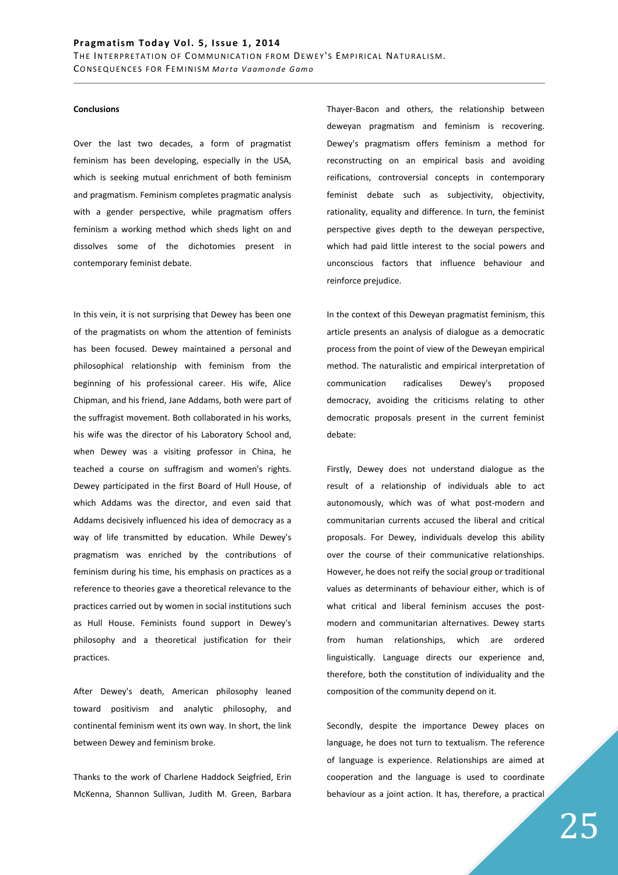### **Conclusions**

Over the last two decades, a form of pragmatist feminism has been developing, especially in the USA, which is seeking mutual enrichment of both feminism and pragmatism. Feminism completes pragmatic analysis with a gender perspective, while pragmatism offers feminism a working method which sheds light on and dissolves some of the dichotomies present in contemporary feminist debate.

In this vein, it is not surprising that Dewey has been one of the pragmatists on whom the attention of feminists has been focused. Dewey maintained a personal and philosophical relationship with feminism from the beginning of his professional career. His wife, Alice Chipman, and his friend, Jane Addams, both were part of the suffragist movement. Both collaborated in his works, his wife was the director of his Laboratory School and, when Dewey was a visiting professor in China, he teached a course on suffragism and women's rights. Dewey participated in the first Board of Hull House, of which Addams was the director, and even said that Addams decisively influenced his idea of democracy as a way of life transmitted by education. While Dewey's pragmatism was enriched by the contributions of feminism during his time, his emphasis on practices as a reference to theories gave a theoretical relevance to the practices carried out by women in social institutions such as Hull House. Feminists found support in Dewey's philosophy and a theoretical justification for their practices.

After Dewey's death, American philosophy leaned toward positivism and analytic philosophy, and continental feminism went its own way. In short, the link between Dewey and feminism broke.

Thanks to the work of Charlene Haddock Seigfried, Erin McKenna, Shannon Sullivan, Judith M. Green, Barbara Thayer-Bacon and others, the relationship between deweyan pragmatism and feminism is recovering. Dewey's pragmatism offers feminism a method for reconstructing on an empirical basis and avoiding reifications, controversial concepts in contemporary feminist debate such as subjectivity, objectivity, rationality, equality and difference. In turn, the feminist perspective gives depth to the deweyan perspective, which had paid little interest to the social powers and unconscious factors that influence behaviour and reinforce prejudice.

In the context of this Deweyan pragmatist feminism, this article presents an analysis of dialogue as a democratic process from the point of view of the Deweyan empirical method. The naturalistic and empirical interpretation of communication radicalises Dewey's proposed democracy, avoiding the criticisms relating to other democratic proposals present in the current feminist debate:

Firstly, Dewey does not understand dialogue as the result of a relationship of individuals able to act autonomously, which was of what post-modern and communitarian currents accused the liberal and critical proposals. For Dewey, individuals develop this ability over the course of their communicative relationships. However, he does not reify the social group or traditional values as determinants of behaviour either, which is of what critical and liberal feminism accuses the postmodern and communitarian alternatives. Dewey starts from human relationships, which are ordered linguistically. Language directs our experience and, therefore, both the constitution of individuality and the composition of the community depend on it.

Secondly, despite the importance Dewey places on language, he does not turn to textualism. The reference of language is experience. Relationships are aimed at cooperation and the language is used to coordinate behaviour as a joint action. It has, therefore, a practical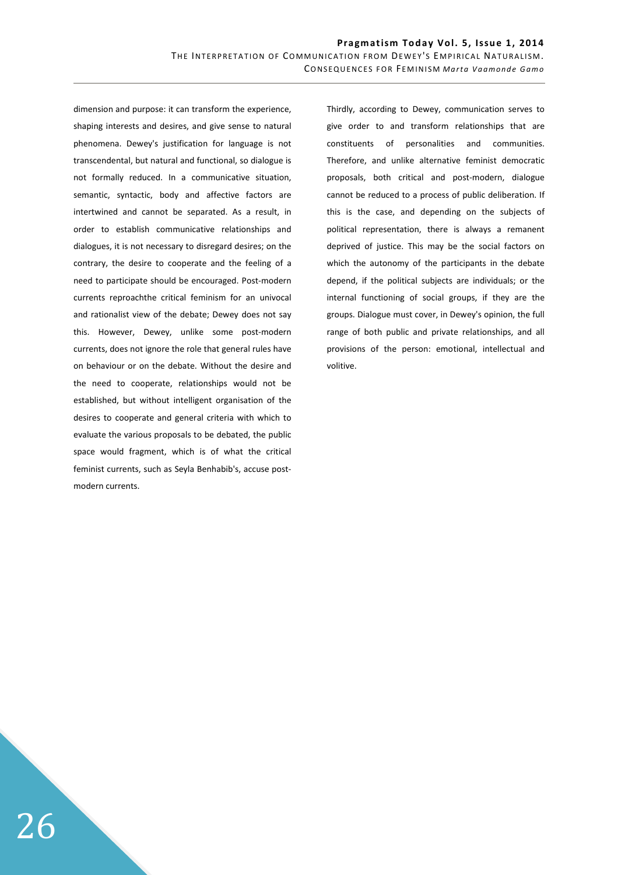dimension and purpose: it can transform the experience, shaping interests and desires, and give sense to natural phenomena. Dewey's justification for language is not transcendental, but natural and functional, so dialogue is not formally reduced. In a communicative situation, semantic, syntactic, body and affective factors are intertwined and cannot be separated. As a result, in order to establish communicative relationships and dialogues, it is not necessary to disregard desires; on the contrary, the desire to cooperate and the feeling of a need to participate should be encouraged. Post-modern currents reproachthe critical feminism for an univocal and rationalist view of the debate; Dewey does not say this. However, Dewey, unlike some post-modern currents, does not ignore the role that general rules have on behaviour or on the debate. Without the desire and the need to cooperate, relationships would not be established, but without intelligent organisation of the desires to cooperate and general criteria with which to evaluate the various proposals to be debated, the public space would fragment, which is of what the critical feminist currents, such as Seyla Benhabib's, accuse postmodern currents.

Thirdly, according to Dewey, communication serves to give order to and transform relationships that are constituents of personalities and communities. Therefore, and unlike alternative feminist democratic proposals, both critical and post-modern, dialogue cannot be reduced to a process of public deliberation. If this is the case, and depending on the subjects of political representation, there is always a remanent deprived of justice. This may be the social factors on which the autonomy of the participants in the debate depend, if the political subjects are individuals; or the internal functioning of social groups, if they are the groups. Dialogue must cover, in Dewey's opinion, the full range of both public and private relationships, and all provisions of the person: emotional, intellectual and volitive.